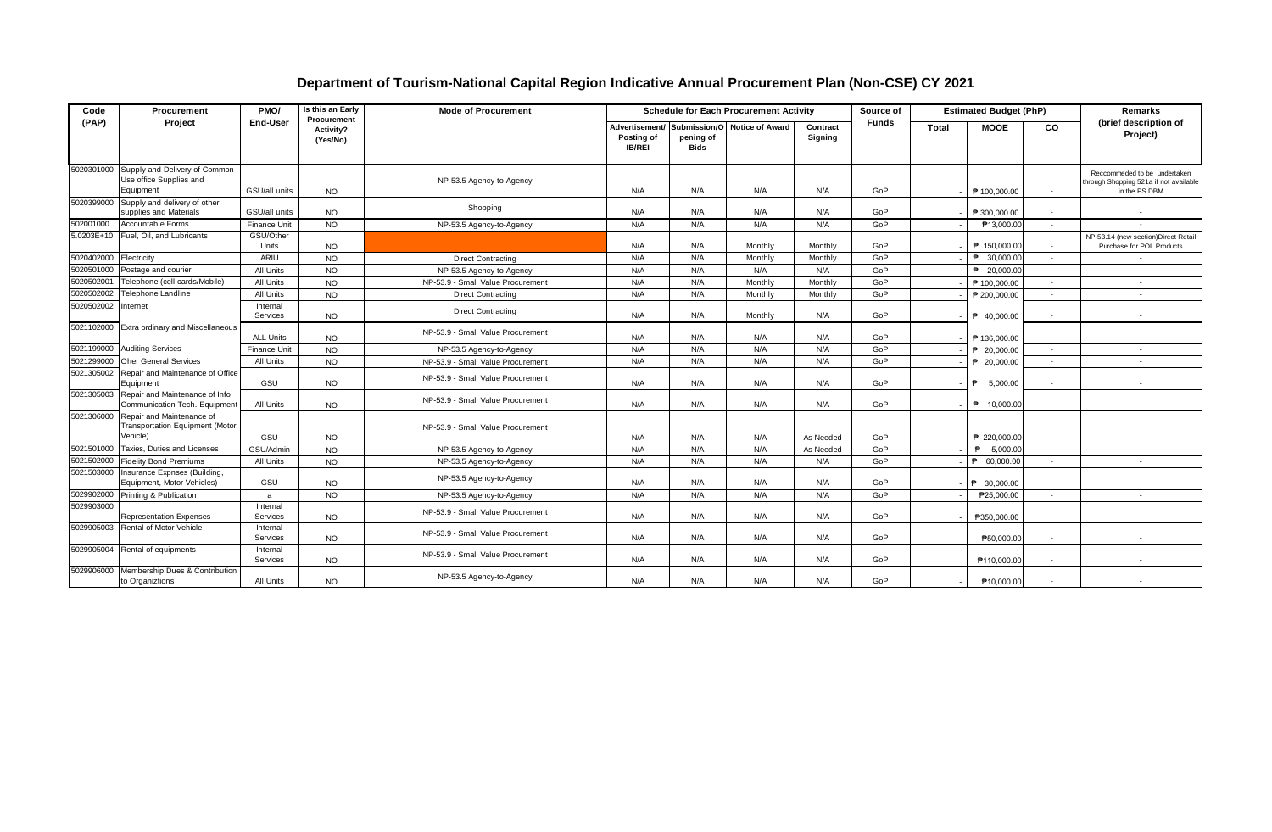## **Department of Tourism-National Capital Region Indicative Annual Procurement Plan (Non-CSE) CY 2021**

| Code       | Procurement                                                                      | PMO/                 | Is this an Early<br>Procurement | <b>Mode of Procurement</b>        | <b>Schedule for Each Procurement Activity</b> |                   |                                             |                     |              | <b>Estimated Budget (PhP)</b><br>Source of |                          |                | Remarks                                                                                 |
|------------|----------------------------------------------------------------------------------|----------------------|---------------------------------|-----------------------------------|-----------------------------------------------|-------------------|---------------------------------------------|---------------------|--------------|--------------------------------------------|--------------------------|----------------|-----------------------------------------------------------------------------------------|
| (PAP)      | Project                                                                          | End-User             | Activity?<br>(Yes/No)           |                                   | Posting of<br><b>IB/REI</b>                   | pening of<br>Bids | Advertisement/ Submission/O Notice of Award | Contract<br>Signing | <b>Funds</b> | Total                                      | <b>MOOE</b>              | CO.            | (brief description of<br>Project)                                                       |
|            | 5020301000 Supply and Delivery of Common<br>Use office Supplies and<br>Equipment | GSU/all units        | <b>NO</b>                       | NP-53.5 Agency-to-Agency          | N/A                                           | N/A               | N/A                                         | N/A                 | GoP          |                                            | P 100,000.00             | $\sim$         | Reccommeded to be undertaken<br>through Shopping 521a if not available<br>in the PS DBM |
| 5020399000 | Supply and delivery of other<br>supplies and Materials                           | GSU/all units        | <b>NO</b>                       | Shopping                          | N/A                                           | N/A               | N/A                                         | N/A                 | GoP          |                                            | ₱ 300,000,00             |                |                                                                                         |
| 502001000  | Accountable Forms                                                                | Finance Unit         | <b>NO</b>                       | NP-53.5 Agency-to-Agency          | N/A                                           | N/A               | N/A                                         | N/A                 | GoP          |                                            | P13,000.00               | $\sim$         | $\sim$                                                                                  |
| 5.0203E+10 | Fuel, Oil, and Lubricants                                                        | GSU/Other<br>Units   | <b>NO</b>                       |                                   | N/A                                           | N/A               | Monthly                                     | Monthly             | GoP          |                                            | P 150,000.00             | $\sim$         | NP-53.14 (new section)Direct Retail<br>Purchase for POL Products                        |
| 5020402000 | Electricity                                                                      | ARIU                 | <b>NO</b>                       | <b>Direct Contracting</b>         | N/A                                           | N/A               | Monthly                                     | Monthly             | GoP          |                                            | P 30,000.00              |                |                                                                                         |
| 5020501000 | Postage and courier                                                              | All Units            | <b>NO</b>                       | NP-53.5 Agency-to-Agency          | N/A                                           | N/A               | N/A                                         | N/A                 | GoP          |                                            | P 20,000.00              | $\sim$         | $\sim$                                                                                  |
| 5020502001 | Telephone (cell cards/Mobile)                                                    | All Units            | <b>NO</b>                       | NP-53.9 - Small Value Procurement | N/A                                           | N/A               | Monthly                                     | Monthly             | GoP          |                                            | P 100,000.00             | $\sim$         | $\sim$                                                                                  |
| 5020502002 | Telephone Landline                                                               | All Units            | <b>NO</b>                       | <b>Direct Contracting</b>         | N/A                                           | N/A               | Monthly                                     | Monthly             | GoP          |                                            | ₱ 200,000.00             |                |                                                                                         |
| 5020502002 | Internet                                                                         | Internal<br>Services | <b>NO</b>                       | <b>Direct Contracting</b>         | N/A                                           | N/A               | Monthly                                     | N/A                 | GoP          |                                            | P 40,000,00              | $\overline{a}$ |                                                                                         |
|            | 5021102000 Extra ordinary and Miscellaneous                                      | <b>ALL Units</b>     | <b>NO</b>                       | NP-53.9 - Small Value Procurement | N/A                                           | N/A               | N/A                                         | N/A                 | GoP          |                                            | P 136,000.00             | $\sim$         | $\sim$                                                                                  |
| 5021199000 | <b>Auditing Services</b>                                                         | <b>Finance Unit</b>  | <b>NO</b>                       | NP-53.5 Agency-to-Agency          | N/A                                           | N/A               | N/A                                         | N/A                 | GoP          |                                            | P 20,000.00              | $\sim$         | $\overline{\phantom{a}}$                                                                |
| 5021299000 | <b>Oher General Services</b>                                                     | All Units            | <b>NO</b>                       | NP-53.9 - Small Value Procurement | N/A                                           | N/A               | N/A                                         | N/A                 | GoP          |                                            | P 20,000.00              | $\sim$         | $\overline{a}$                                                                          |
| 5021305002 | Repair and Maintenance of Office<br>Equipment                                    | GSU                  | <b>NO</b>                       | NP-53.9 - Small Value Procurement | N/A                                           | N/A               | N/A                                         | N/A                 | GoP          |                                            | 5.000.00<br>₿            | $\sim$         |                                                                                         |
| 5021305003 | Repair and Maintenance of Info<br>Communication Tech. Equipment                  | All Units            | <b>NO</b>                       | NP-53.9 - Small Value Procurement | N/A                                           | N/A               | N/A                                         | N/A                 | GoP          |                                            | P 10,000.00              | $\sim$         |                                                                                         |
| 5021306000 | Repair and Maintenance of<br><b>Transportation Equipment (Motor</b><br>Vehicle)  | GSU                  | <b>NO</b>                       | NP-53.9 - Small Value Procurement | N/A                                           | N/A               | N/A                                         | As Needed           | GoP          |                                            | P 220,000.00             |                |                                                                                         |
| 5021501000 | Taxies, Duties and Licenses                                                      | GSU/Admin            | <b>NO</b>                       | NP-53.5 Agency-to-Agency          | N/A                                           | N/A               | N/A                                         | As Needed           | GoP          |                                            | 5,000.00<br>$\mathbf{P}$ | $\sim$         | $\sim$                                                                                  |
| 5021502000 | <b>Fidelity Bond Premiums</b>                                                    | All Units            | <b>NO</b>                       | NP-53.5 Agency-to-Agency          | N/A                                           | N/A               | N/A                                         | N/A                 | GoP          |                                            | P 60,000.00              | $\sim$         | $\overline{\phantom{a}}$                                                                |
| 5021503000 | Insurance Expnses (Building,<br>Equipment, Motor Vehicles)                       | GSU                  | <b>NO</b>                       | NP-53.5 Agency-to-Agency          | N/A                                           | N/A               | N/A                                         | N/A                 | GoP          |                                            | P 30,000,00              |                |                                                                                         |
| 5029902000 | Printing & Publication                                                           | a                    | <b>NO</b>                       | NP-53.5 Agency-to-Agency          | N/A                                           | N/A               | N/A                                         | N/A                 | GoP          |                                            | P25,000.00               | $\sim$         | $\sim$                                                                                  |
| 5029903000 | <b>Representation Expenses</b>                                                   | Internal<br>Services | <b>NO</b>                       | NP-53.9 - Small Value Procurement | N/A                                           | N/A               | N/A                                         | N/A                 | GoP          |                                            | P350,000.00              |                |                                                                                         |
|            | 5029905003 Rental of Motor Vehicle                                               | Internal<br>Services | <b>NO</b>                       | NP-53.9 - Small Value Procurement | N/A                                           | N/A               | N/A                                         | N/A                 | GoP          |                                            | P50.000.00               |                |                                                                                         |
| 5029905004 | Rental of equipments                                                             | Internal<br>Services | <b>NO</b>                       | NP-53.9 - Small Value Procurement | N/A                                           | N/A               | N/A                                         | N/A                 | GoP          |                                            | P110,000.00              | $\sim$         | $\overline{a}$                                                                          |
| 5029906000 | Membership Dues & Contribution<br>to Organiztions                                | All Units            | <b>NO</b>                       | NP-53.5 Agency-to-Agency          | N/A                                           | N/A               | N/A                                         | N/A                 | GoP          |                                            | P10,000.00               |                |                                                                                         |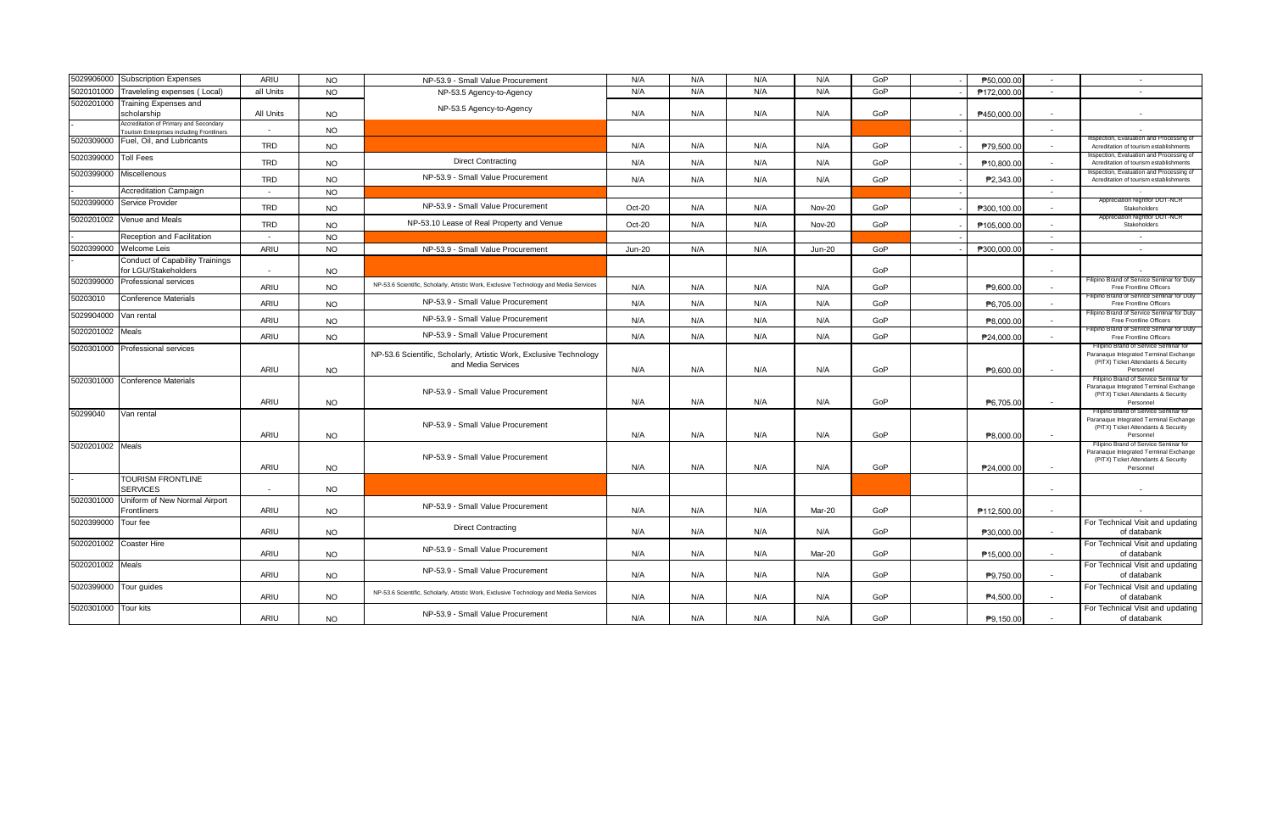| 5029906000       | <b>Subscription Expenses</b>                                                        | <b>ARIU</b>              | <b>NO</b> | NP-53.9 - Small Value Procurement                                                        | N/A           | N/A | N/A | N/A           | GoP | P50.000.00  | $\sim$ | $\sim$                                                                                                                              |
|------------------|-------------------------------------------------------------------------------------|--------------------------|-----------|------------------------------------------------------------------------------------------|---------------|-----|-----|---------------|-----|-------------|--------|-------------------------------------------------------------------------------------------------------------------------------------|
| 5020101000       | Traveleling expenses (Local)                                                        | all Units                | <b>NO</b> | NP-53.5 Agency-to-Agency                                                                 | N/A           | N/A | N/A | N/A           | GoP | P172,000.00 | $\sim$ | $\sim$                                                                                                                              |
| 5020201000       | Training Expenses and<br>scholarship                                                | All Units                | <b>NO</b> | NP-53.5 Agency-to-Agency                                                                 | N/A           | N/A | N/A | N/A           | GoP | P450.000.00 | $\sim$ |                                                                                                                                     |
|                  | Accreditation of Primary and Secondary<br>Tourism Enterprises including Frontliners | $\sim$                   | <b>NO</b> |                                                                                          |               |     |     |               |     |             |        |                                                                                                                                     |
| 5020309000       | Fuel, Oil, and Lubricants                                                           | <b>TRD</b>               | <b>NO</b> |                                                                                          | N/A           | N/A | N/A | N/A           | GoP | P79,500.00  | $\sim$ | Inspection, Evaluation and Processing of<br>Acreditation of tourism establishments                                                  |
| 5020399000       | <b>Toll Fees</b>                                                                    | <b>TRD</b>               | <b>NO</b> | <b>Direct Contracting</b>                                                                | N/A           | N/A | N/A | N/A           | GoP | P10,800.00  |        | Inspection, Evaluation and Processing o<br>Acreditation of tourism establishments                                                   |
| 5020399000       | Miscellenous                                                                        | <b>TRD</b>               | <b>NO</b> | NP-53.9 - Small Value Procurement                                                        | N/A           | N/A | N/A | N/A           | GoP | P2,343.00   | $\sim$ | Inspection, Evaluation and Processing of<br>Acreditation of tourism establishments                                                  |
|                  | <b>Accreditation Campaign</b>                                                       | $\sim$                   | <b>NO</b> |                                                                                          |               |     |     |               |     |             | $\sim$ |                                                                                                                                     |
| 5020399000       | Service Provider                                                                    | <b>TRD</b>               | <b>NO</b> | NP-53.9 - Small Value Procurement                                                        | Oct-20        | N/A | N/A | <b>Nov-20</b> | GoP | P300.100.00 |        | Appreciation Nightfor DOT-NCR<br>Stakeholders                                                                                       |
| 5020201002       | Venue and Meals                                                                     | <b>TRD</b>               | <b>NO</b> | NP-53.10 Lease of Real Property and Venue                                                | Oct-20        | N/A | N/A | <b>Nov-20</b> | GoP | P105,000.00 |        | Appreciation Nightfor DOT-NCF<br>Stakeholders                                                                                       |
|                  | Reception and Facilitation                                                          | $\sim$                   | <b>NO</b> |                                                                                          |               |     |     |               |     |             | $\sim$ | $\sim$                                                                                                                              |
| 5020399000       | Welcome Leis                                                                        | ARIU                     | <b>NO</b> | NP-53.9 - Small Value Procurement                                                        | <b>Jun-20</b> | N/A | N/A | <b>Jun-20</b> | GoP | P300,000.00 |        | $\sim$                                                                                                                              |
|                  | Conduct of Capability Trainings                                                     |                          |           |                                                                                          |               |     |     |               |     |             |        |                                                                                                                                     |
|                  | for LGU/Stakeholders                                                                | $\overline{\phantom{a}}$ | <b>NO</b> |                                                                                          |               |     |     |               | GoP |             |        |                                                                                                                                     |
| 5020399000       | Professional services                                                               | ARIU                     | <b>NO</b> | NP-53.6 Scientific, Scholarly, Artistic Work, Exclusive Technology and Media Services    | N/A           | N/A | N/A | N/A           | GoP | P9.600.00   |        | Filipino Brand of Service Seminar for Duty<br>Free Frontline Officers                                                               |
| 50203010         | Conference Materials                                                                | ARIU                     | <b>NO</b> | NP-53.9 - Small Value Procurement                                                        | N/A           | N/A | N/A | N/A           | GoP | P6,705.00   |        | Filipino Brand of Service Seminar for Duty<br>Free Frontline Officers                                                               |
| 5029904000       | Van rental                                                                          | ARIU                     | <b>NO</b> | NP-53.9 - Small Value Procurement                                                        | N/A           | N/A | N/A | N/A           | GoP | P8,000.00   | $\sim$ | Filipino Brand of Service Seminar for Duty<br>Free Frontline Officers                                                               |
| 5020201002       | Meals                                                                               | <b>ARIU</b>              | <b>NO</b> | NP-53.9 - Small Value Procurement                                                        | N/A           | N/A | N/A | N/A           | GoP | P24,000.00  |        | Filipino Brand of Service Seminar for Duty<br>Free Frontline Officers                                                               |
| 5020301000       | Professional services                                                               | <b>ARIU</b>              | <b>NO</b> | NP-53.6 Scientific, Scholarly, Artistic Work, Exclusive Technology<br>and Media Services | N/A           | N/A | N/A | N/A           | GoP | P9,600.00   | $\sim$ | Filipino Brand of Service Seminar for<br>Paranaque Integrated Terminal Exchange<br>(PITX) Ticket Attendants & Security<br>Personnel |
| 5020301000       | <b>Conference Materials</b>                                                         | ARIU                     | <b>NO</b> | NP-53.9 - Small Value Procurement                                                        | N/A           | N/A | N/A | N/A           | GoP | P6,705.00   | $\sim$ | Filipino Brand of Service Seminar for<br>Paranaque Integrated Terminal Exchange<br>(PITX) Ticket Attendants & Security<br>Personnel |
| 50299040         | Van rental                                                                          | <b>ARIU</b>              | <b>NO</b> | NP-53.9 - Small Value Procurement                                                        | N/A           | N/A | N/A | N/A           | GoP | P8,000.00   |        | Filipino Brand of Service Seminar for<br>Paranaque Integrated Terminal Exchange<br>(PITX) Ticket Attendants & Security<br>Personnel |
| 5020201002 Meals |                                                                                     | ARIU                     | <b>NO</b> | NP-53.9 - Small Value Procurement                                                        | N/A           | N/A | N/A | N/A           | GoP | P24.000.00  | $\sim$ | Filipino Brand of Service Seminar for<br>Paranaque Integrated Terminal Exchange<br>(PITX) Ticket Attendants & Security<br>Personnel |
|                  | <b>TOURISM FRONTLINE</b><br><b>SERVICES</b>                                         | $\sim$                   | <b>NO</b> |                                                                                          |               |     |     |               |     |             | $\sim$ |                                                                                                                                     |
| 5020301000       | Uniform of New Normal Airport<br>Frontliners                                        | ARIU                     | <b>NO</b> | NP-53.9 - Small Value Procurement                                                        | N/A           | N/A | N/A | Mar-20        | GoP | P112,500.00 | $\sim$ |                                                                                                                                     |
| 5020399000       | Tour fee                                                                            | ARIU                     | <b>NO</b> | <b>Direct Contracting</b>                                                                | N/A           | N/A | N/A | N/A           | GoP | P30,000.00  | $\sim$ | For Technical Visit and updating<br>of databank                                                                                     |
| 5020201002       | Coaster Hire                                                                        | <b>ARIU</b>              | <b>NO</b> | NP-53.9 - Small Value Procurement                                                        | N/A           | N/A | N/A | Mar-20        | GoP | P15,000.00  | $\sim$ | For Technical Visit and updating<br>of databank                                                                                     |
| 5020201002       | Meals                                                                               | <b>ARIU</b>              | <b>NO</b> | NP-53.9 - Small Value Procurement                                                        | N/A           | N/A | N/A | N/A           | GoP | P9,750.00   |        | For Technical Visit and updating<br>of databank                                                                                     |
| 5020399000       | Tour guides                                                                         | <b>ARIU</b>              | <b>NO</b> | NP-53.6 Scientific, Scholarly, Artistic Work, Exclusive Technology and Media Services    | N/A           | N/A | N/A | N/A           | GoP | P4,500.00   |        | For Technical Visit and updating<br>of databank                                                                                     |
| 5020301000       | <b>Tour kits</b>                                                                    | <b>ARIU</b>              | <b>NO</b> | NP-53.9 - Small Value Procurement                                                        | N/A           | N/A | N/A | N/A           | GoP | P9,150.00   | $\sim$ | For Technical Visit and updating<br>of databank                                                                                     |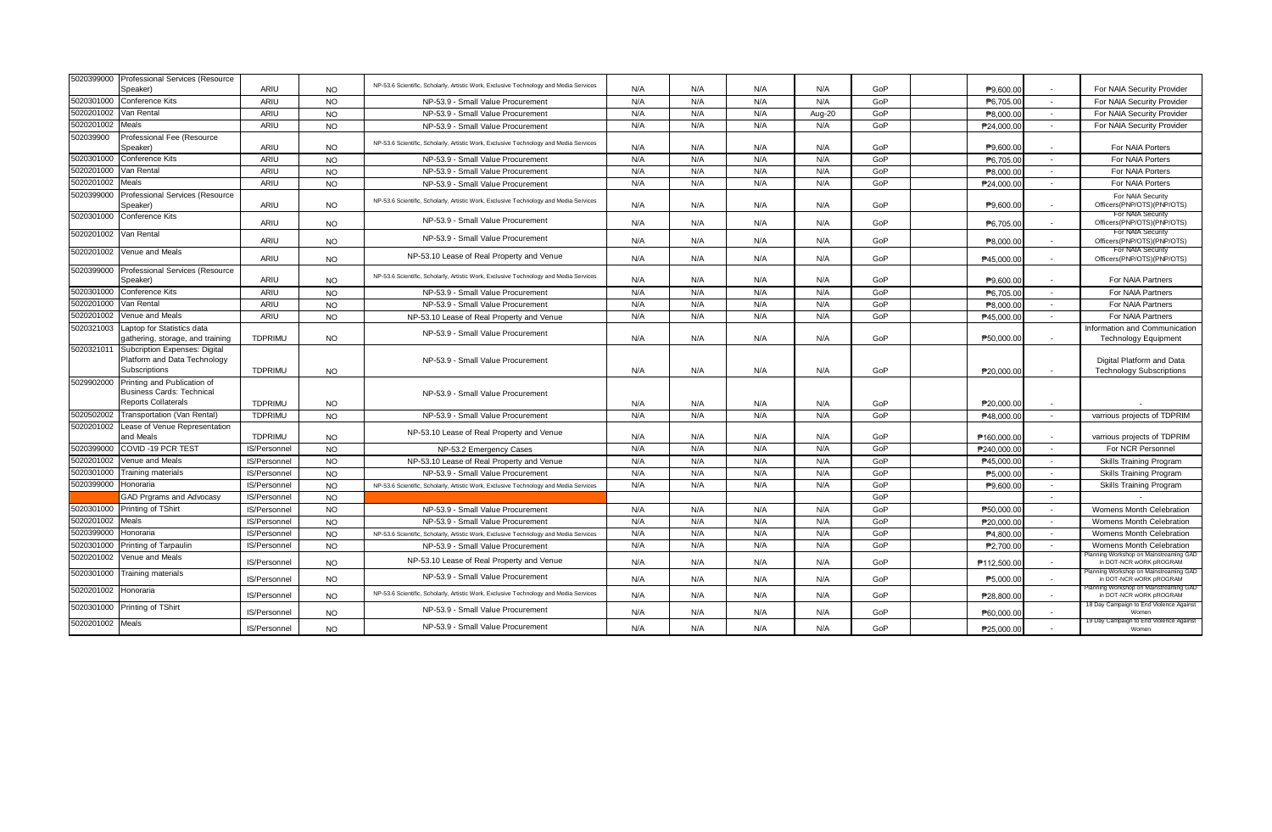| 5020399000       | Professional Services (Resource                      |                |           |                                                                                       |     |     |     |        |     |                       |                          |                                                                   |
|------------------|------------------------------------------------------|----------------|-----------|---------------------------------------------------------------------------------------|-----|-----|-----|--------|-----|-----------------------|--------------------------|-------------------------------------------------------------------|
|                  | Speaker)                                             | ARIU           | <b>NO</b> | NP-53.6 Scientific, Scholarly, Artistic Work, Exclusive Technology and Media Services | N/A | N/A | N/A | N/A    | GoP | P9.600.00             |                          | For NAIA Security Provider                                        |
| 5020301000       | <b>Conference Kits</b>                               | ARIU           | <b>NO</b> | NP-53.9 - Small Value Procurement                                                     | N/A | N/A | N/A | N/A    | GoP | P6,705.00             | $\sim$                   | For NAIA Security Provider                                        |
| 5020201002       | Van Rental                                           | <b>ARIU</b>    | <b>NO</b> | NP-53.9 - Small Value Procurement                                                     | N/A | N/A | N/A | Aug-20 | GoP | P8.000.00             | $\sim$                   | For NAIA Security Provider                                        |
| 5020201002       | <b>Meals</b>                                         | <b>ARIU</b>    | <b>NO</b> | NP-53.9 - Small Value Procurement                                                     | N/A | N/A | N/A | N/A    | GoP | P24.000.00            | $\sim$                   | For NAIA Security Provider                                        |
| 502039900        | Professional Fee (Resource                           |                |           | NP-53.6 Scientific, Scholarly, Artistic Work, Exclusive Technology and Media Services |     |     |     |        |     |                       |                          |                                                                   |
|                  | Speaker)                                             | ARIU           | <b>NO</b> |                                                                                       | N/A | N/A | N/A | N/A    | GoP | P9,600.00             | $\sim$                   | For NAIA Porters                                                  |
| 5020301000       | <b>Conference Kits</b>                               | ARIU           | <b>NO</b> | NP-53.9 - Small Value Procurement                                                     | N/A | N/A | N/A | N/A    | GoP | P6.705.00             | $\sim$                   | For NAIA Porters                                                  |
| 5020201000       | Van Rental                                           | ARIU           | <b>NO</b> | NP-53.9 - Small Value Procurement                                                     | N/A | N/A | N/A | N/A    | GoP | P8,000.00             | $\overline{a}$           | For NAIA Porters                                                  |
| 5020201002       | Meals                                                | ARIU           | <b>NO</b> | NP-53.9 - Small Value Procurement                                                     | N/A | N/A | N/A | N/A    | GoP | P24.000.00            | $\sim$                   | For NAIA Porters                                                  |
| 5020399000       | Professional Services (Resource                      |                |           | NP-53.6 Scientific, Scholarly, Artistic Work, Exclusive Technology and Media Services |     |     |     |        |     |                       |                          | For NAIA Security                                                 |
|                  | Speaker)                                             | ARIU           | <b>NO</b> |                                                                                       | N/A | N/A | N/A | N/A    | GoP | P9,600.00             |                          | Officers(PNP/OTS)(PNP/OTS)                                        |
| 5020301000       | <b>Conference Kits</b>                               | ARIU           | <b>NO</b> | NP-53.9 - Small Value Procurement                                                     | N/A | N/A | N/A | N/A    | GoP | P6.705.00             | $\sim$                   | For NAIA Security<br>Officers(PNP/OTS)(PNP/OTS)                   |
| 5020201002       | Van Rental                                           |                |           |                                                                                       |     |     |     |        |     |                       |                          | For NAIA Security                                                 |
|                  |                                                      | ARIU           | <b>NO</b> | NP-53.9 - Small Value Procurement                                                     | N/A | N/A | N/A | N/A    | GoP | P8,000.00             | $\sim$                   | Officers(PNP/OTS)(PNP/OTS)                                        |
| 5020201002       | Venue and Meals                                      | ARIU           | <b>NO</b> | NP-53.10 Lease of Real Property and Venue                                             | N/A | N/A | N/A | N/A    | GoP | P45,000.00            | $\sim$                   | For NAIA Security<br>Officers(PNP/OTS)(PNP/OTS)                   |
| 5020399000       | Professional Services (Resource                      |                |           |                                                                                       |     |     |     |        |     |                       |                          |                                                                   |
|                  | Speaker)                                             | ARIU           | <b>NO</b> | NP-53.6 Scientific, Scholarly, Artistic Work, Exclusive Technology and Media Services | N/A | N/A | N/A | N/A    | GoP | P9.600.00             | $\sim$                   | For NAIA Partners                                                 |
| 5020301000       | <b>Conference Kits</b>                               | ARIU           | <b>NO</b> | NP-53.9 - Small Value Procurement                                                     | N/A | N/A | N/A | N/A    | GoP | P6.705.00             | $\sim$                   | For NAIA Partners                                                 |
| 5020201000       | Van Rental                                           | <b>ARIU</b>    | <b>NO</b> | NP-53.9 - Small Value Procurement                                                     | N/A | N/A | N/A | N/A    | GoP | P8.000.00             | $\overline{\phantom{a}}$ | For NAIA Partners                                                 |
| 5020201002       | Venue and Meals                                      | ARIU           | <b>NO</b> | NP-53.10 Lease of Real Property and Venue                                             | N/A | N/A | N/A | N/A    | GoP | P45,000.00            | $\sim$                   | For NAIA Partners                                                 |
| 5020321003       | Laptop for Statistics data                           |                |           | NP-53.9 - Small Value Procurement                                                     |     |     |     |        |     |                       |                          | Information and Communication                                     |
|                  | gathering, storage, and training                     | <b>TDPRIMU</b> | <b>NO</b> |                                                                                       | N/A | N/A | N/A | N/A    | GoP | P50,000.00            | $\sim$                   | <b>Technology Equipment</b>                                       |
| 5020321011       | Subcription Expenses: Digital                        |                |           |                                                                                       |     |     |     |        |     |                       |                          |                                                                   |
|                  | Platform and Data Technology<br><b>Subscriptions</b> | <b>TDPRIMU</b> |           | NP-53.9 - Small Value Procurement                                                     | N/A | N/A | N/A | N/A    | GoP |                       | $\sim$                   | Digital Platform and Data                                         |
|                  | 5029902000 Printing and Publication of               |                | <b>NO</b> |                                                                                       |     |     |     |        |     | P20,000.00            |                          | <b>Technology Subscriptions</b>                                   |
|                  | <b>Business Cards: Technical</b>                     |                |           | NP-53.9 - Small Value Procurement                                                     |     |     |     |        |     |                       |                          |                                                                   |
|                  | <b>Reports Collaterals</b>                           | <b>TDPRIMU</b> | <b>NO</b> |                                                                                       | N/A | N/A | N/A | N/A    | GoP | P20.000.00            | $\sim$                   |                                                                   |
| 5020502002       | Transportation (Van Rental)                          | <b>TDPRIMU</b> | <b>NO</b> | NP-53.9 - Small Value Procurement                                                     | N/A | N/A | N/A | N/A    | GoP | P48,000.00            | $\sim$                   | varrious projects of TDPRIM                                       |
| 5020201002       | Lease of Venue Representation                        |                |           |                                                                                       |     |     |     |        |     |                       |                          |                                                                   |
|                  | and Meals                                            | <b>TDPRIMU</b> | <b>NO</b> | NP-53.10 Lease of Real Property and Venue                                             | N/A | N/A | N/A | N/A    | GoP | P160,000.00           | $\sim$                   | varrious projects of TDPRIM                                       |
| 5020399000       | COVID-19 PCR TEST                                    | IS/Personnel   | <b>NO</b> | NP-53.2 Emergency Cases                                                               | N/A | N/A | N/A | N/A    | GoP | P240.000.00           | $\sim$                   | For NCR Personnel                                                 |
| 5020201002       | Venue and Meals                                      | IS/Personnel   | <b>NO</b> | NP-53.10 Lease of Real Property and Venue                                             | N/A | N/A | N/A | N/A    | GoP | P45,000.00            | $\sim$                   | Skills Training Program                                           |
| 5020301000       | Training materials                                   | IS/Personnel   | <b>NO</b> | NP-53.9 - Small Value Procurement                                                     | N/A | N/A | N/A | N/A    | GoP | P5,000.00             | $\sim$                   | <b>Skills Training Program</b>                                    |
| 5020399000       | Honoraria                                            | IS/Personnel   | <b>NO</b> | NP-53.6 Scientific, Scholarly, Artistic Work, Exclusive Technology and Media Services | N/A | N/A | N/A | N/A    | GoP | P9.600.00             |                          | Skills Training Program                                           |
|                  | GAD Prgrams and Advocasy                             | IS/Personnel   | <b>NO</b> |                                                                                       |     |     |     |        | GoP |                       | $\sim$                   |                                                                   |
| 5020301000       | Printing of TShirt                                   | IS/Personnel   | <b>NO</b> | NP-53.9 - Small Value Procurement                                                     | N/A | N/A | N/A | N/A    | GoP | P50,000.00            | $\sim$                   | Womens Month Celebration                                          |
| 5020201002       | Meals                                                | IS/Personnel   | <b>NO</b> | NP-53.9 - Small Value Procurement                                                     | N/A | N/A | N/A | N/A    | GoP | P20.000.00            | $\sim$                   | Womens Month Celebration                                          |
| 5020399000       | Honoraria                                            | IS/Personnel   | <b>NO</b> | NP-53.6 Scientific, Scholarly, Artistic Work, Exclusive Technology and Media Services | N/A | N/A | N/A | N/A    | GoP | P4.800.00             | $\sim$                   | Womens Month Celebration                                          |
| 5020301000       | Printing of Tarpaulin                                | IS/Personnel   | <b>NO</b> | NP-53.9 - Small Value Procurement                                                     | N/A | N/A | N/A | N/A    | GoP | P <sub>2.700.00</sub> | $\sim$                   | Womens Month Celebration                                          |
| 5020201002       | Venue and Meals                                      | IS/Personnel   | <b>NO</b> | NP-53.10 Lease of Real Property and Venue                                             | N/A | N/A | N/A | N/A    | GoP | P112,500.00           |                          | lanning Workshop on Mainstreaming GAD<br>in DOT-NCR wORK pROGRAM  |
| 5020301000       | Training materials                                   | IS/Personnel   | <b>NO</b> | NP-53.9 - Small Value Procurement                                                     | N/A | N/A | N/A | N/A    | GoP | P5.000.00             |                          | lanning Workshop on Mainstreaming GAD<br>in DOT-NCR wORK pROGRAM  |
| 5020201002       | Honoraria                                            | IS/Personnel   | <b>NO</b> | NP-53.6 Scientific, Scholarly, Artistic Work, Exclusive Technology and Media Services | N/A | N/A | N/A | N/A    | GoP | P28.800.00            | $\sim$                   | Planning Workshop on Mainstreaming GAD<br>in DOT-NCR wORK pROGRAM |
|                  | 5020301000 Printing of TShirt                        | IS/Personnel   | <b>NO</b> | NP-53.9 - Small Value Procurement                                                     | N/A | N/A | N/A | N/A    | GoP |                       |                          | 18 Day Campaign to End Violence Against<br>Women                  |
| 5020201002 Meals |                                                      |                |           | NP-53.9 - Small Value Procurement                                                     |     |     |     |        |     | P60,000.00            |                          | 19 Day Campaign to End Violence Against                           |
|                  |                                                      | IS/Personnel   | <b>NO</b> |                                                                                       | N/A | N/A | N/A | N/A    | GoP | P25,000.00            | $\sim$                   | Women                                                             |